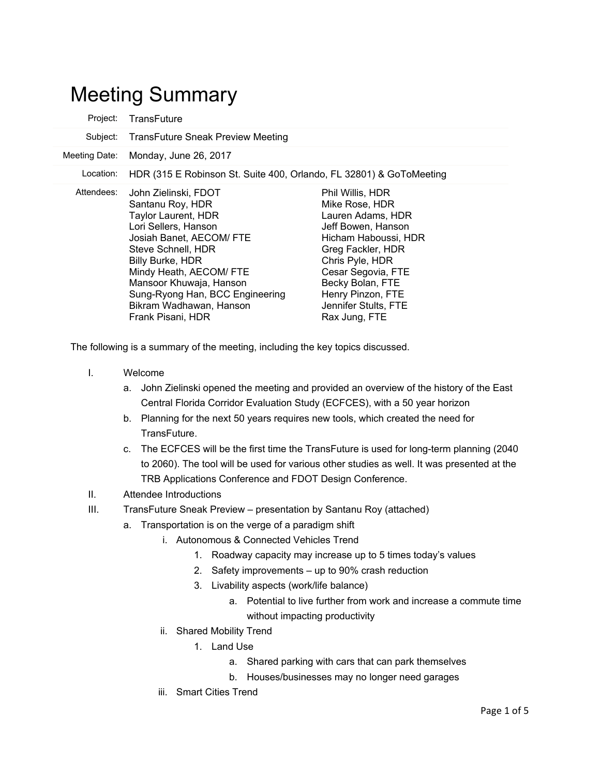## Meeting Summary

| Project:      | TransFuture                                                                                                                                                                                                                                                                                                          |                                                                                                                                                                                                                                                       |
|---------------|----------------------------------------------------------------------------------------------------------------------------------------------------------------------------------------------------------------------------------------------------------------------------------------------------------------------|-------------------------------------------------------------------------------------------------------------------------------------------------------------------------------------------------------------------------------------------------------|
| Subject:      | <b>TransFuture Sneak Preview Meeting</b>                                                                                                                                                                                                                                                                             |                                                                                                                                                                                                                                                       |
| Meeting Date: | Monday, June 26, 2017                                                                                                                                                                                                                                                                                                |                                                                                                                                                                                                                                                       |
| Location:     | HDR (315 E Robinson St. Suite 400, Orlando, FL 32801) & GoToMeeting                                                                                                                                                                                                                                                  |                                                                                                                                                                                                                                                       |
| Attendees:    | John Zielinski, FDOT<br>Santanu Roy, HDR<br><b>Taylor Laurent, HDR</b><br>Lori Sellers, Hanson<br>Josiah Banet, AECOM/ FTE<br>Steve Schnell, HDR<br><b>Billy Burke, HDR</b><br>Mindy Heath, AECOM/ FTE<br>Mansoor Khuwaja, Hanson<br>Sung-Ryong Han, BCC Engineering<br>Bikram Wadhawan, Hanson<br>Frank Pisani, HDR | Phil Willis, HDR<br>Mike Rose, HDR<br>Lauren Adams, HDR<br>Jeff Bowen, Hanson<br>Hicham Haboussi, HDR<br>Greg Fackler, HDR<br>Chris Pyle, HDR<br>Cesar Segovia, FTE<br>Becky Bolan, FTE<br>Henry Pinzon, FTE<br>Jennifer Stults, FTE<br>Rax Jung, FTE |

The following is a summary of the meeting, including the key topics discussed.

- I. Welcome
	- a. John Zielinski opened the meeting and provided an overview of the history of the East Central Florida Corridor Evaluation Study (ECFCES), with a 50 year horizon
	- b. Planning for the next 50 years requires new tools, which created the need for TransFuture.
	- c. The ECFCES will be the first time the TransFuture is used for long-term planning (2040 to 2060). The tool will be used for various other studies as well. It was presented at the TRB Applications Conference and FDOT Design Conference.
- II. Attendee Introductions
- III. TransFuture Sneak Preview presentation by Santanu Roy (attached)
	- a. Transportation is on the verge of a paradigm shift
		- i. Autonomous & Connected Vehicles Trend
			- 1. Roadway capacity may increase up to 5 times today's values
			- 2. Safety improvements up to 90% crash reduction
			- 3. Livability aspects (work/life balance)
				- a. Potential to live further from work and increase a commute time without impacting productivity
		- ii. Shared Mobility Trend
			- 1. Land Use
				- a. Shared parking with cars that can park themselves
				- b. Houses/businesses may no longer need garages
		- iii. Smart Cities Trend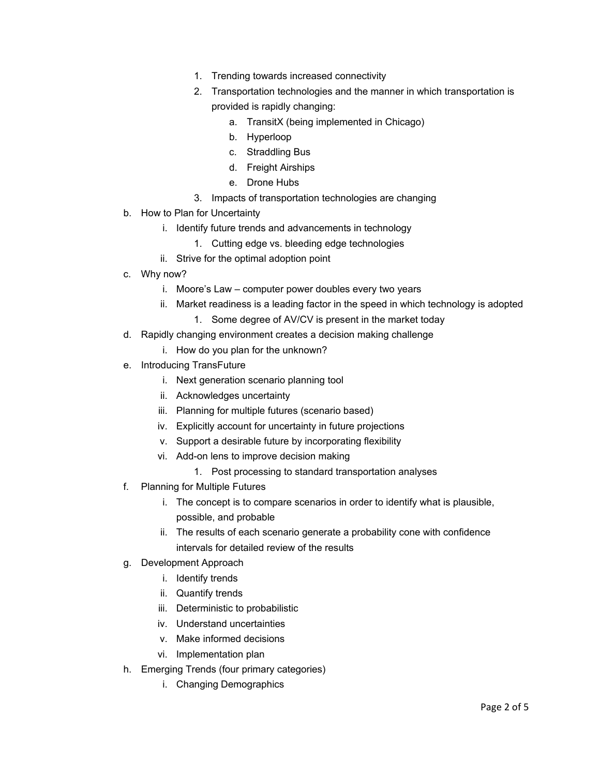- 1. Trending towards increased connectivity
- 2. Transportation technologies and the manner in which transportation is provided is rapidly changing:
	- a. TransitX (being implemented in Chicago)
	- b. Hyperloop
	- c. Straddling Bus
	- d. Freight Airships
	- e. Drone Hubs
- 3. Impacts of transportation technologies are changing
- b. How to Plan for Uncertainty
	- i. Identify future trends and advancements in technology
		- 1. Cutting edge vs. bleeding edge technologies
	- ii. Strive for the optimal adoption point
- c. Why now?
	- i. Moore's Law computer power doubles every two years
	- ii. Market readiness is a leading factor in the speed in which technology is adopted
		- 1. Some degree of AV/CV is present in the market today
- d. Rapidly changing environment creates a decision making challenge
	- i. How do you plan for the unknown?
- e. Introducing TransFuture
	- i. Next generation scenario planning tool
	- ii. Acknowledges uncertainty
	- iii. Planning for multiple futures (scenario based)
	- iv. Explicitly account for uncertainty in future projections
	- v. Support a desirable future by incorporating flexibility
	- vi. Add-on lens to improve decision making
		- 1. Post processing to standard transportation analyses
- f. Planning for Multiple Futures
	- i. The concept is to compare scenarios in order to identify what is plausible, possible, and probable
	- ii. The results of each scenario generate a probability cone with confidence intervals for detailed review of the results
- g. Development Approach
	- i. Identify trends
	- ii. Quantify trends
	- iii. Deterministic to probabilistic
	- iv. Understand uncertainties
	- v. Make informed decisions
	- vi. Implementation plan
- h. Emerging Trends (four primary categories)
	- i. Changing Demographics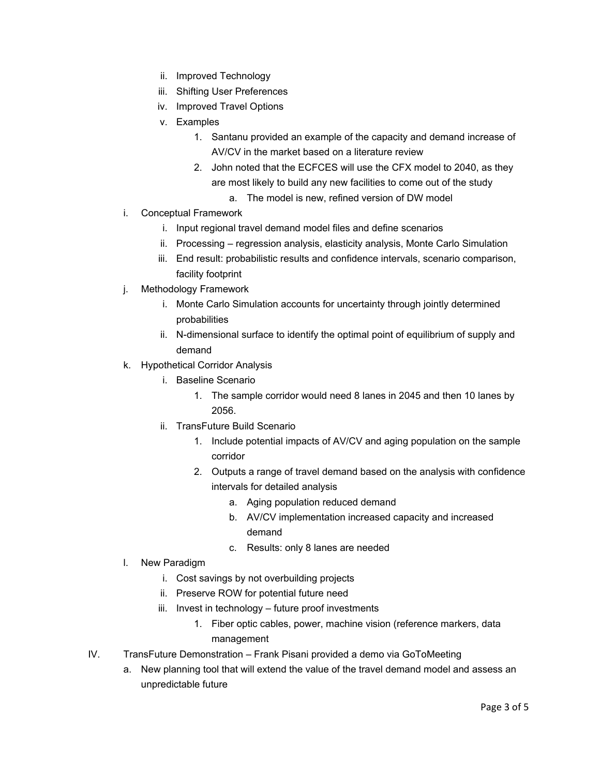- ii. Improved Technology
- iii. Shifting User Preferences
- iv. Improved Travel Options
- v. Examples
	- 1. Santanu provided an example of the capacity and demand increase of AV/CV in the market based on a literature review
	- 2. John noted that the ECFCES will use the CFX model to 2040, as they are most likely to build any new facilities to come out of the study
		- a. The model is new, refined version of DW model
- i. Conceptual Framework
	- i. Input regional travel demand model files and define scenarios
	- ii. Processing regression analysis, elasticity analysis, Monte Carlo Simulation
	- iii. End result: probabilistic results and confidence intervals, scenario comparison, facility footprint
- j. Methodology Framework
	- i. Monte Carlo Simulation accounts for uncertainty through jointly determined probabilities
	- ii. N-dimensional surface to identify the optimal point of equilibrium of supply and demand
- k. Hypothetical Corridor Analysis
	- i. Baseline Scenario
		- 1. The sample corridor would need 8 lanes in 2045 and then 10 lanes by 2056.
	- ii. TransFuture Build Scenario
		- 1. Include potential impacts of AV/CV and aging population on the sample corridor
		- 2. Outputs a range of travel demand based on the analysis with confidence intervals for detailed analysis
			- a. Aging population reduced demand
			- b. AV/CV implementation increased capacity and increased demand
			- c. Results: only 8 lanes are needed
- l. New Paradigm
	- i. Cost savings by not overbuilding projects
	- ii. Preserve ROW for potential future need
	- iii. Invest in technology future proof investments
		- 1. Fiber optic cables, power, machine vision (reference markers, data management
- IV. TransFuture Demonstration Frank Pisani provided a demo via GoToMeeting
	- a. New planning tool that will extend the value of the travel demand model and assess an unpredictable future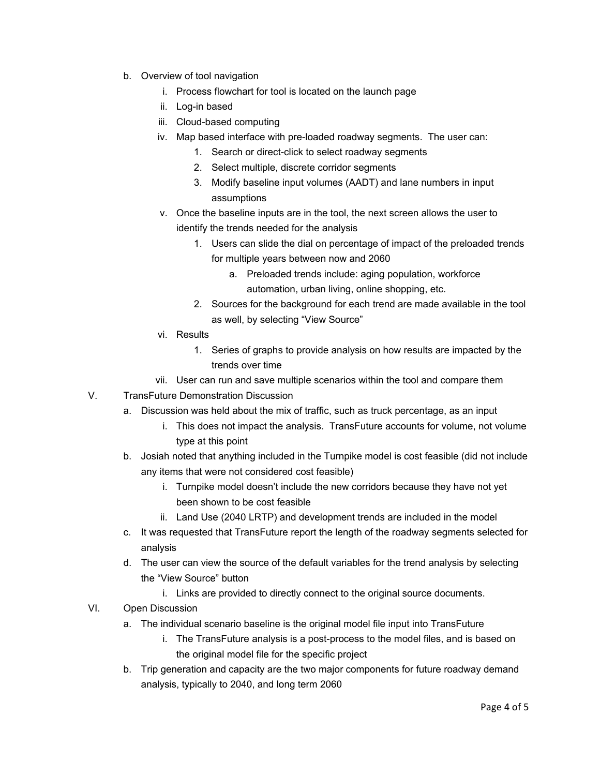- b. Overview of tool navigation
	- i. Process flowchart for tool is located on the launch page
	- ii. Log-in based
	- iii. Cloud-based computing
	- iv. Map based interface with pre-loaded roadway segments. The user can:
		- 1. Search or direct-click to select roadway segments
		- 2. Select multiple, discrete corridor segments
		- 3. Modify baseline input volumes (AADT) and lane numbers in input assumptions
	- v. Once the baseline inputs are in the tool, the next screen allows the user to identify the trends needed for the analysis
		- 1. Users can slide the dial on percentage of impact of the preloaded trends for multiple years between now and 2060
			- a. Preloaded trends include: aging population, workforce automation, urban living, online shopping, etc.
		- 2. Sources for the background for each trend are made available in the tool as well, by selecting "View Source"
	- vi. Results
		- 1. Series of graphs to provide analysis on how results are impacted by the trends over time
	- vii. User can run and save multiple scenarios within the tool and compare them
- V. TransFuture Demonstration Discussion
	- a. Discussion was held about the mix of traffic, such as truck percentage, as an input
		- i. This does not impact the analysis. TransFuture accounts for volume, not volume type at this point
	- b. Josiah noted that anything included in the Turnpike model is cost feasible (did not include any items that were not considered cost feasible)
		- i. Turnpike model doesn't include the new corridors because they have not yet been shown to be cost feasible
		- ii. Land Use (2040 LRTP) and development trends are included in the model
	- c. It was requested that TransFuture report the length of the roadway segments selected for analysis
	- d. The user can view the source of the default variables for the trend analysis by selecting the "View Source" button
		- i. Links are provided to directly connect to the original source documents.
- VI. Open Discussion
	- a. The individual scenario baseline is the original model file input into TransFuture
		- i. The TransFuture analysis is a post-process to the model files, and is based on the original model file for the specific project
	- b. Trip generation and capacity are the two major components for future roadway demand analysis, typically to 2040, and long term 2060